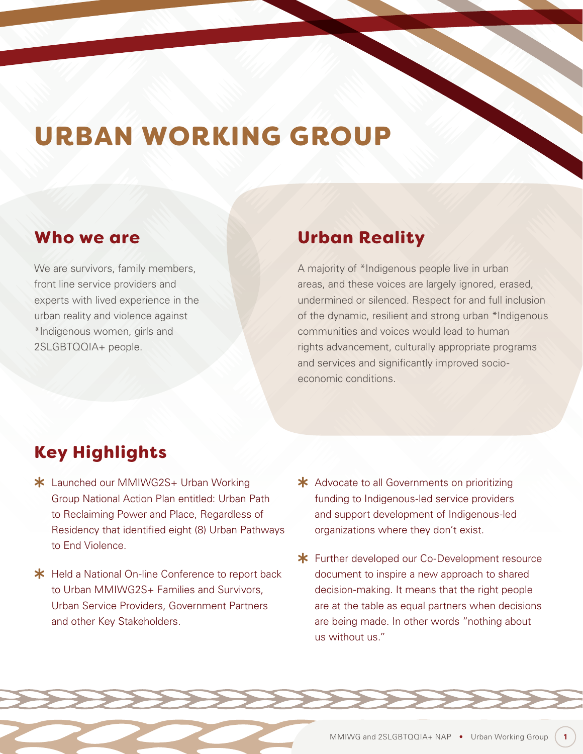# URBAN WORKING GROUP

### Who we are

We are survivors, family members, front line service providers and experts with lived experience in the urban reality and violence against \*Indigenous women, girls and 2SLGBTQQIA+ people.

### Urban Reality

A majority of \*Indigenous people live in urban areas, and these voices are largely ignored, erased, undermined or silenced. Respect for and full inclusion of the dynamic, resilient and strong urban \*Indigenous communities and voices would lead to human rights advancement, culturally appropriate programs and services and significantly improved socioeconomic conditions.

# Key Highlights

- \* Launched our MMIWG2S+ Urban Working Group National Action Plan entitled: Urban Path to Reclaiming Power and Place, Regardless of Residency that identified eight (8) Urban Pathways to End Violence.
- **\*** Held a National On-line Conference to report back to Urban MMIWG2S+ Families and Survivors. Urban Service Providers, Government Partners and other Key Stakeholders.
- \* Advocate to all Governments on prioritizing funding to Indigenous-led service providers and support development of Indigenous-led organizations where they don't exist.
- **\*** Further developed our Co-Development resource document to inspire a new approach to shared decision-making. It means that the right people are at the table as equal partners when decisions are being made. In other words "nothing about us without us."